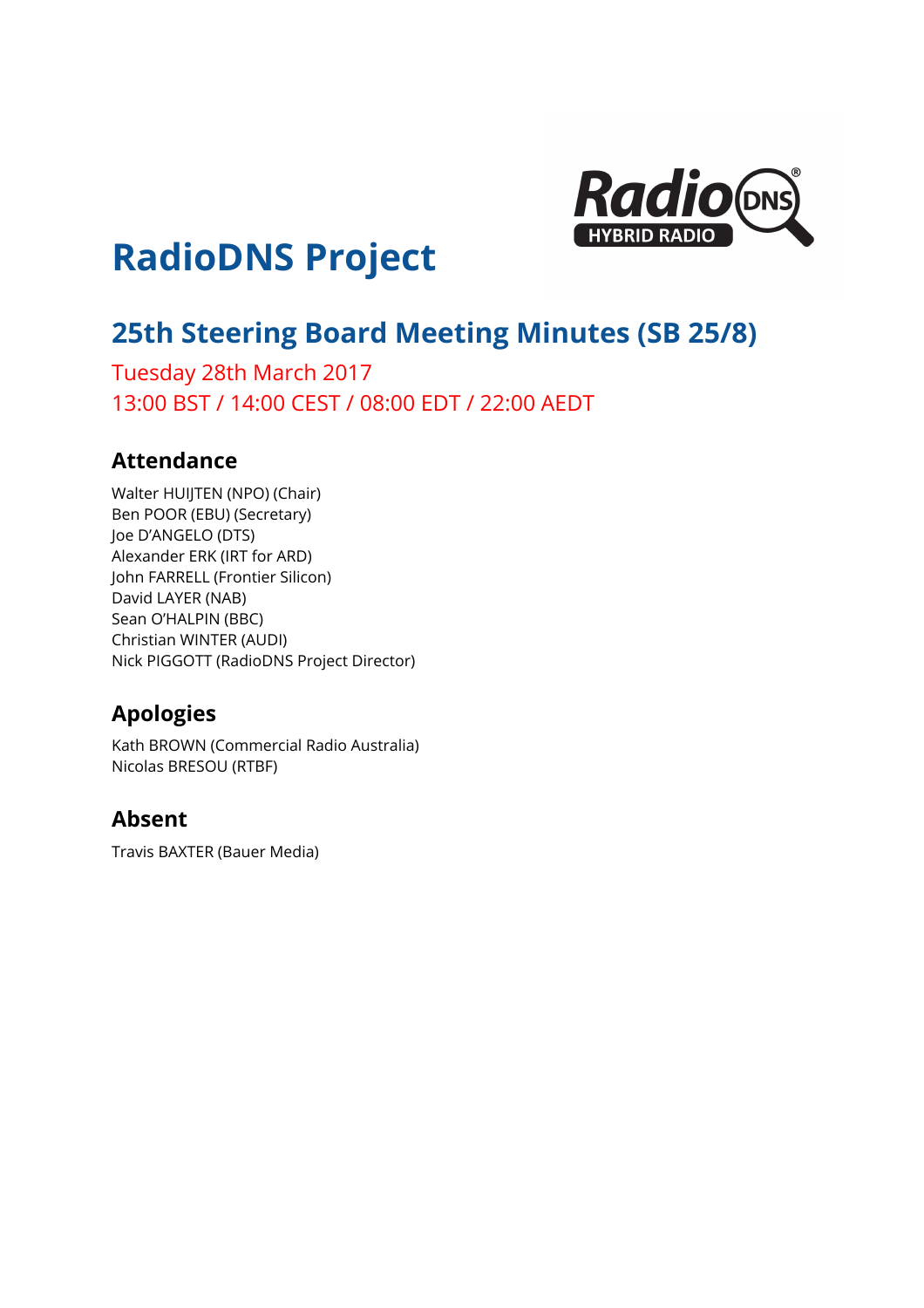

# **RadioDNS Project**

## **25th Steering Board Meeting Minutes (SB 25/8)**

Tuesday 28th March 2017 13:00 BST / 14:00 CEST / 08:00 EDT / 22:00 AEDT

### **Attendance**

Walter HUIJTEN (NPO) (Chair) Ben POOR (EBU) (Secretary) Joe D'ANGELO (DTS) Alexander ERK (IRT for ARD) John FARRELL (Frontier Silicon) David LAYER (NAB) Sean O'HALPIN (BBC) Christian WINTER (AUDI) Nick PIGGOTT (RadioDNS Project Director)

## **Apologies**

Kath BROWN (Commercial Radio Australia) Nicolas BRESOU (RTBF)

## **Absent**

Travis BAXTER (Bauer Media)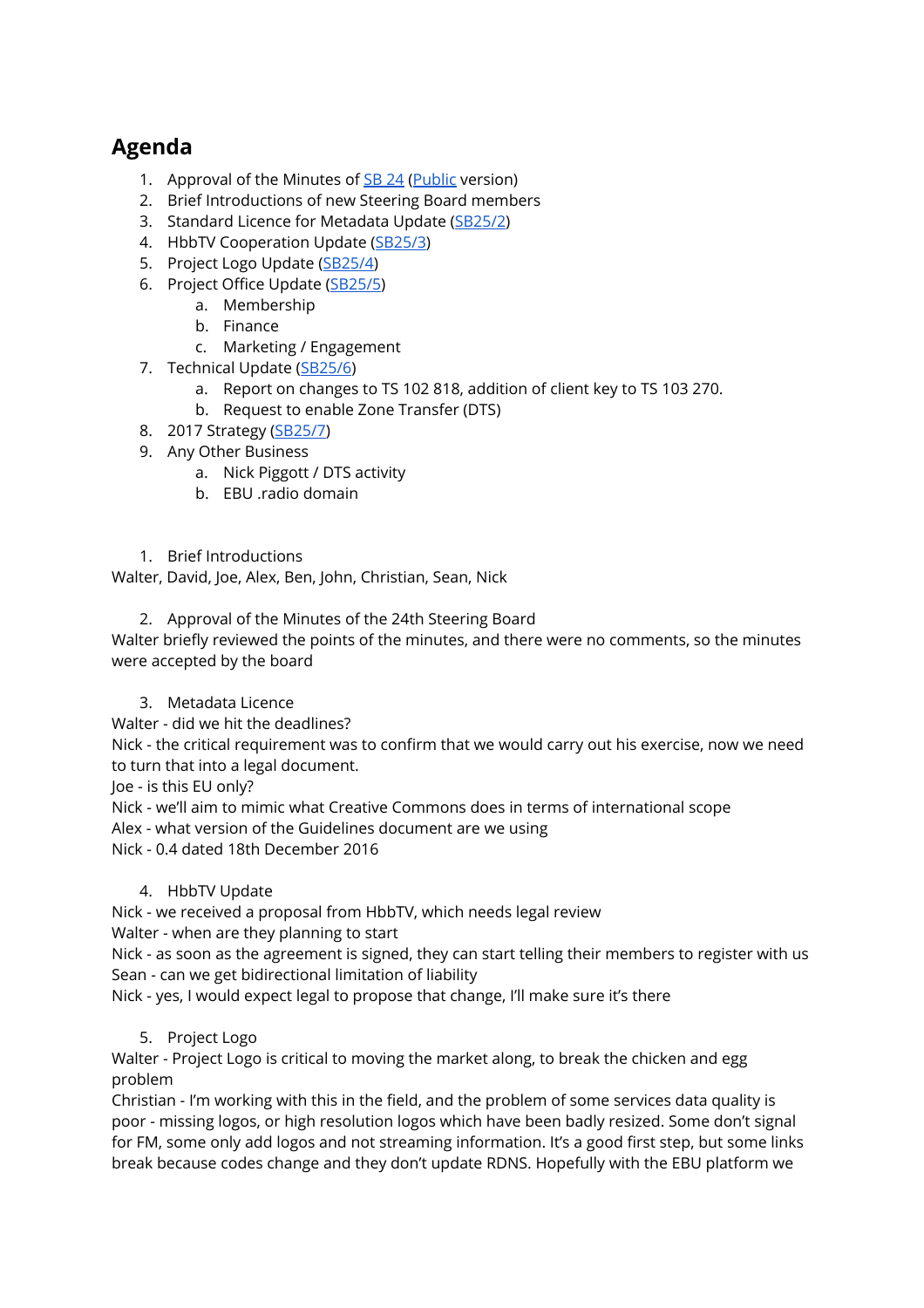## **Agenda**

- 1. Approval of the Minutes of [SB](https://docs.google.com/document/d/1zM0Gi_BJl5jZswq2mMm2hasQ8BSUAElPYTMt_5SSqpM/edit) 24 [\(Public](https://docs.google.com/document/d/1IPRcuLY0TamWzzb-s-RdVuGxyxxk7k1gZCl3VP5gaO0/edit) version)
- 2. Brief Introductions of new Steering Board members
- 3. Standard Licence for Metadata Update ([SB25/2](https://docs.google.com/document/d/1OstIehMSQ6mcdloIaUMiIPoxwycGEXsX9OepEu2dtos/edit#))
- 4. HbbTV Cooperation Update [\(SB25/3\)](https://drive.google.com/open?id=1yXtPQCTCbQALD3z-Eb0sv5nhjzANBni7RoQajDnqNgo)
- 5. Project Logo Update [\(SB25/4\)](https://docs.google.com/document/d/1xSSz_VUnbIoCnlChqxnxWx0j-28IgkpcL8r3ieEEClg/edit#)
- 6. Project Office Update [\(SB25/5](https://docs.google.com/document/d/1tk6ellC345ob-7-KZZtMp1l-PEmccCK3W-yAKjRKp70/edit#))
	- a. Membership
	- b. Finance
	- c. Marketing / Engagement
- 7. Technical Update [\(SB25/6\)](https://drive.google.com/open?id=1wfOahuTdBJ5aTYLp-UtUSMrjMMyhmgah8qzkRVmRhNo)
	- a. Report on changes to TS 102 818, addition of client key to TS 103 270.
	- b. Request to enable Zone Transfer (DTS)
- 8. 2017 Strategy ([SB25/7\)](https://docs.google.com/document/d/1yqNbk4ES09EfSIm5M9lYTpL-u7kGGslm_vjz81kGBiU/edit#)
- 9. Any Other Business
	- a. Nick Piggott / DTS activity
	- b. EBU .radio domain
- 1. Brief Introductions

Walter, David, Joe, Alex, Ben, John, Christian, Sean, Nick

2. Approval of the Minutes of the 24th Steering Board

Walter briefly reviewed the points of the minutes, and there were no comments, so the minutes were accepted by the board

- 3. Metadata Licence
- Walter did we hit the deadlines?

Nick - the critical requirement was to confirm that we would carry out his exercise, now we need to turn that into a legal document.

Joe - is this EU only?

Nick - we'll aim to mimic what Creative Commons does in terms of international scope

Alex - what version of the Guidelines document are we using

Nick - 0.4 dated 18th December 2016

#### 4. HbbTV Update

Nick - we received a proposal from HbbTV, which needs legal review

Walter - when are they planning to start

Nick - as soon as the agreement is signed, they can start telling their members to register with us Sean - can we get bidirectional limitation of liability

Nick - yes, I would expect legal to propose that change, I'll make sure it's there

#### 5. Project Logo

Walter - Project Logo is critical to moving the market along, to break the chicken and egg problem

Christian - I'm working with this in the field, and the problem of some services data quality is poor - missing logos, or high resolution logos which have been badly resized. Some don't signal for FM, some only add logos and not streaming information. It's a good first step, but some links break because codes change and they don't update RDNS. Hopefully with the EBU platform we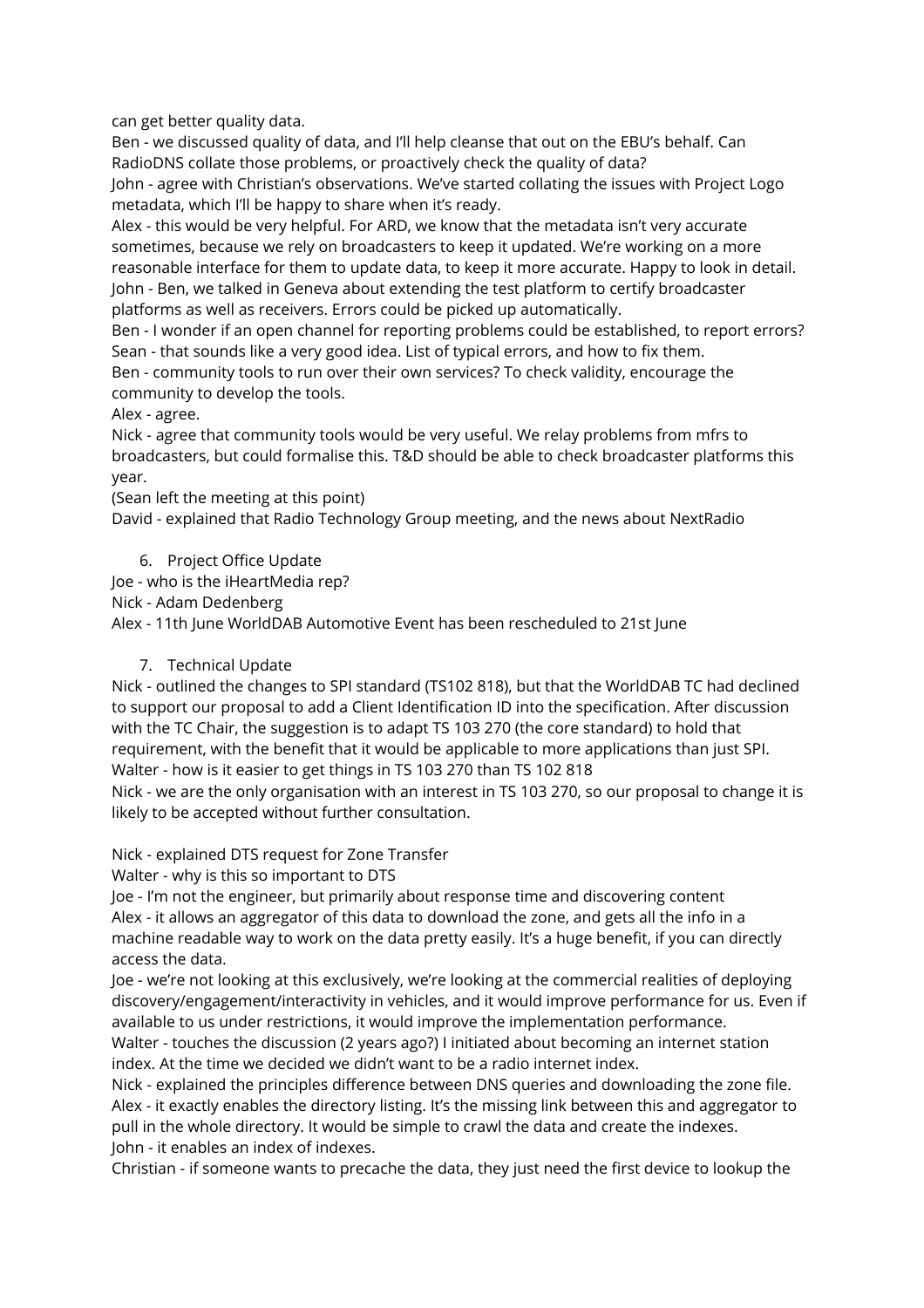can get better quality data.

Ben - we discussed quality of data, and I'll help cleanse that out on the EBU's behalf. Can RadioDNS collate those problems, or proactively check the quality of data? John - agree with Christian's observations. We've started collating the issues with Project Logo metadata, which I'll be happy to share when it's ready.

Alex - this would be very helpful. For ARD, we know that the metadata isn't very accurate sometimes, because we rely on broadcasters to keep it updated. We're working on a more reasonable interface for them to update data, to keep it more accurate. Happy to look in detail. John - Ben, we talked in Geneva about extending the test platform to certify broadcaster platforms as well as receivers. Errors could be picked up automatically.

Ben - I wonder if an open channel for reporting problems could be established, to report errors? Sean - that sounds like a very good idea. List of typical errors, and how to fix them.

Ben - community tools to run over their own services? To check validity, encourage the community to develop the tools.

Alex - agree.

Nick - agree that community tools would be very useful. We relay problems from mfrs to broadcasters, but could formalise this. T&D should be able to check broadcaster platforms this year.

(Sean left the meeting at this point)

David - explained that Radio Technology Group meeting, and the news about NextRadio

6. Project Office Update

Joe - who is the iHeartMedia rep?

Nick - Adam Dedenberg

Alex - 11th June WorldDAB Automotive Event has been rescheduled to 21st June

7. Technical Update

Nick - outlined the changes to SPI standard (TS102 818), but that the WorldDAB TC had declined to support our proposal to add a Client Identification ID into the specification. After discussion with the TC Chair, the suggestion is to adapt TS 103 270 (the core standard) to hold that requirement, with the benefit that it would be applicable to more applications than just SPI. Walter - how is it easier to get things in TS 103 270 than TS 102 818

Nick - we are the only organisation with an interest in TS 103 270, so our proposal to change it is likely to be accepted without further consultation.

Nick - explained DTS request for Zone Transfer

Walter - why is this so important to DTS

Joe - I'm not the engineer, but primarily about response time and discovering content Alex - it allows an aggregator of this data to download the zone, and gets all the info in a machine readable way to work on the data pretty easily. It's a huge benefit, if you can directly access the data.

Joe - we're not looking at this exclusively, we're looking at the commercial realities of deploying discovery/engagement/interactivity in vehicles, and it would improve performance for us. Even if available to us under restrictions, it would improve the implementation performance.

Walter - touches the discussion (2 years ago?) I initiated about becoming an internet station index. At the time we decided we didn't want to be a radio internet index.

Nick - explained the principles difference between DNS queries and downloading the zone file. Alex - it exactly enables the directory listing. It's the missing link between this and aggregator to pull in the whole directory. It would be simple to crawl the data and create the indexes. John - it enables an index of indexes.

Christian - if someone wants to precache the data, they just need the first device to lookup the